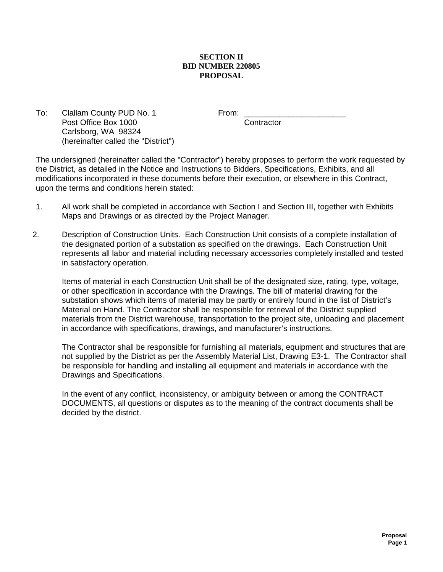## **SECTION II BID NUMBER 220805 PROPOSAL**

To: Clallam County PUD No. 1 From: Post Office Box 1000 Contractor Carlsborg, WA 98324 (hereinafter called the "District")

The undersigned (hereinafter called the "Contractor") hereby proposes to perform the work requested by the District, as detailed in the Notice and Instructions to Bidders, Specifications, Exhibits, and all modifications incorporated in these documents before their execution, or elsewhere in this Contract, upon the terms and conditions herein stated:

- 1. All work shall be completed in accordance with Section I and Section III, together with Exhibits Maps and Drawings or as directed by the Project Manager.
- 2. Description of Construction Units. Each Construction Unit consists of a complete installation of the designated portion of a substation as specified on the drawings. Each Construction Unit represents all labor and material including necessary accessories completely installed and tested in satisfactory operation.

Items of material in each Construction Unit shall be of the designated size, rating, type, voltage, or other specification in accordance with the Drawings. The bill of material drawing for the substation shows which items of material may be partly or entirely found in the list of District's Material on Hand. The Contractor shall be responsible for retrieval of the District supplied materials from the District warehouse, transportation to the project site, unloading and placement in accordance with specifications, drawings, and manufacturer's instructions.

The Contractor shall be responsible for furnishing all materials, equipment and structures that are not supplied by the District as per the Assembly Material List, Drawing E3-1. The Contractor shall be responsible for handling and installing all equipment and materials in accordance with the Drawings and Specifications.

In the event of any conflict, inconsistency, or ambiguity between or among the CONTRACT DOCUMENTS, all questions or disputes as to the meaning of the contract documents shall be decided by the district.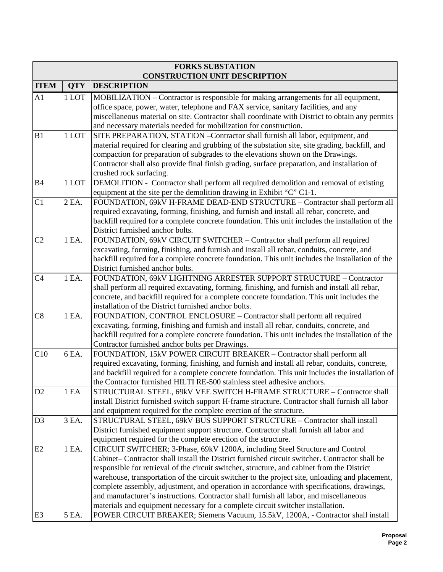|                | <b>FORKS SUBSTATION</b><br><b>CONSTRUCTION UNIT DESCRIPTION</b> |                                                                                                                                                                         |  |  |  |  |  |
|----------------|-----------------------------------------------------------------|-------------------------------------------------------------------------------------------------------------------------------------------------------------------------|--|--|--|--|--|
| <b>ITEM</b>    | <b>QTY</b>                                                      | <b>DESCRIPTION</b>                                                                                                                                                      |  |  |  |  |  |
| A1             | 1 LOT                                                           | MOBILIZATION – Contractor is responsible for making arrangements for all equipment,                                                                                     |  |  |  |  |  |
|                |                                                                 | office space, power, water, telephone and FAX service, sanitary facilities, and any                                                                                     |  |  |  |  |  |
|                |                                                                 | miscellaneous material on site. Contractor shall coordinate with District to obtain any permits                                                                         |  |  |  |  |  |
|                |                                                                 | and necessary materials needed for mobilization for construction.                                                                                                       |  |  |  |  |  |
| B1             | 1 LOT                                                           | SITE PREPARATION, STATION - Contractor shall furnish all labor, equipment, and                                                                                          |  |  |  |  |  |
|                |                                                                 | material required for clearing and grubbing of the substation site, site grading, backfill, and                                                                         |  |  |  |  |  |
|                |                                                                 | compaction for preparation of subgrades to the elevations shown on the Drawings.                                                                                        |  |  |  |  |  |
|                |                                                                 | Contractor shall also provide final finish grading, surface preparation, and installation of                                                                            |  |  |  |  |  |
|                |                                                                 | crushed rock surfacing.                                                                                                                                                 |  |  |  |  |  |
| <b>B4</b>      | 1 LOT                                                           | DEMOLITION - Contractor shall perform all required demolition and removal of existing                                                                                   |  |  |  |  |  |
|                |                                                                 | equipment at the site per the demolition drawing in Exhibit "C" C1-1.                                                                                                   |  |  |  |  |  |
| C1             | 2 EA.                                                           | FOUNDATION, 69kV H-FRAME DEAD-END STRUCTURE - Contractor shall perform all                                                                                              |  |  |  |  |  |
|                |                                                                 | required excavating, forming, finishing, and furnish and install all rebar, concrete, and                                                                               |  |  |  |  |  |
|                |                                                                 | backfill required for a complete concrete foundation. This unit includes the installation of the                                                                        |  |  |  |  |  |
| C <sub>2</sub> | 1 EA.                                                           | District furnished anchor bolts.                                                                                                                                        |  |  |  |  |  |
|                |                                                                 | FOUNDATION, 69kV CIRCUIT SWITCHER - Contractor shall perform all required<br>excavating, forming, finishing, and furnish and install all rebar, conduits, concrete, and |  |  |  |  |  |
|                |                                                                 |                                                                                                                                                                         |  |  |  |  |  |
|                |                                                                 | backfill required for a complete concrete foundation. This unit includes the installation of the<br>District furnished anchor bolts.                                    |  |  |  |  |  |
| C <sub>4</sub> | 1 EA.                                                           | FOUNDATION, 69kV LIGHTNING ARRESTER SUPPORT STRUCTURE - Contractor                                                                                                      |  |  |  |  |  |
|                |                                                                 | shall perform all required excavating, forming, finishing, and furnish and install all rebar,                                                                           |  |  |  |  |  |
|                |                                                                 | concrete, and backfill required for a complete concrete foundation. This unit includes the                                                                              |  |  |  |  |  |
|                |                                                                 | installation of the District furnished anchor bolts.                                                                                                                    |  |  |  |  |  |
| C8             | 1 EA.                                                           | FOUNDATION, CONTROL ENCLOSURE - Contractor shall perform all required                                                                                                   |  |  |  |  |  |
|                |                                                                 | excavating, forming, finishing and furnish and install all rebar, conduits, concrete, and                                                                               |  |  |  |  |  |
|                |                                                                 | backfill required for a complete concrete foundation. This unit includes the installation of the                                                                        |  |  |  |  |  |
|                |                                                                 | Contractor furnished anchor bolts per Drawings.                                                                                                                         |  |  |  |  |  |
| C10            | 6 EA.                                                           | FOUNDATION, 15kV POWER CIRCUIT BREAKER - Contractor shall perform all                                                                                                   |  |  |  |  |  |
|                |                                                                 | required excavating, forming, finishing, and furnish and install all rebar, conduits, concrete,                                                                         |  |  |  |  |  |
|                |                                                                 | and backfill required for a complete concrete foundation. This unit includes the installation of                                                                        |  |  |  |  |  |
|                |                                                                 | the Contractor furnished HILTI RE-500 stainless steel adhesive anchors.                                                                                                 |  |  |  |  |  |
| D <sub>2</sub> | 1 EA                                                            | STRUCTURAL STEEL, 69kV VEE SWITCH H-FRAME STRUCTURE - Contractor shall                                                                                                  |  |  |  |  |  |
|                |                                                                 | install District furnished switch support H-frame structure. Contractor shall furnish all labor                                                                         |  |  |  |  |  |
|                |                                                                 | and equipment required for the complete erection of the structure.                                                                                                      |  |  |  |  |  |
| D <sub>3</sub> | 3 EA.                                                           | STRUCTURAL STEEL, 69kV BUS SUPPORT STRUCTURE - Contractor shall install                                                                                                 |  |  |  |  |  |
|                |                                                                 | District furnished equipment support structure. Contractor shall furnish all labor and                                                                                  |  |  |  |  |  |
|                |                                                                 | equipment required for the complete erection of the structure.                                                                                                          |  |  |  |  |  |
| E2             | 1 EA.                                                           | CIRCUIT SWITCHER; 3-Phase, 69kV 1200A, including Steel Structure and Control                                                                                            |  |  |  |  |  |
|                |                                                                 | Cabinet–Contractor shall install the District furnished circuit switcher. Contractor shall be                                                                           |  |  |  |  |  |
|                |                                                                 | responsible for retrieval of the circuit switcher, structure, and cabinet from the District                                                                             |  |  |  |  |  |
|                |                                                                 | warehouse, transportation of the circuit switcher to the project site, unloading and placement,                                                                         |  |  |  |  |  |
|                |                                                                 | complete assembly, adjustment, and operation in accordance with specifications, drawings,                                                                               |  |  |  |  |  |
|                |                                                                 | and manufacturer's instructions. Contractor shall furnish all labor, and miscellaneous                                                                                  |  |  |  |  |  |
|                |                                                                 | materials and equipment necessary for a complete circuit switcher installation.                                                                                         |  |  |  |  |  |
| E <sub>3</sub> | 5 EA.                                                           | POWER CIRCUIT BREAKER; Siemens Vacuum, 15.5kV, 1200A, - Contractor shall install                                                                                        |  |  |  |  |  |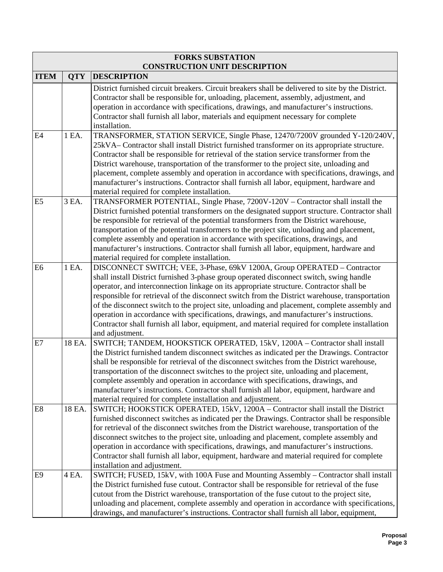| <b>FORKS SUBSTATION</b><br><b>CONSTRUCTION UNIT DESCRIPTION</b> |            |                                                                                                                                                                                                                                                                                                                                                                                                                                                                                                                                                                                                                                                                                  |  |  |  |  |
|-----------------------------------------------------------------|------------|----------------------------------------------------------------------------------------------------------------------------------------------------------------------------------------------------------------------------------------------------------------------------------------------------------------------------------------------------------------------------------------------------------------------------------------------------------------------------------------------------------------------------------------------------------------------------------------------------------------------------------------------------------------------------------|--|--|--|--|
| <b>ITEM</b>                                                     | <b>QTY</b> | <b>DESCRIPTION</b>                                                                                                                                                                                                                                                                                                                                                                                                                                                                                                                                                                                                                                                               |  |  |  |  |
|                                                                 |            | District furnished circuit breakers. Circuit breakers shall be delivered to site by the District.<br>Contractor shall be responsible for, unloading, placement, assembly, adjustment, and<br>operation in accordance with specifications, drawings, and manufacturer's instructions.<br>Contractor shall furnish all labor, materials and equipment necessary for complete<br>installation.                                                                                                                                                                                                                                                                                      |  |  |  |  |
| E <sub>4</sub>                                                  | 1 EA.      | TRANSFORMER, STATION SERVICE, Single Phase, 12470/7200V grounded Y-120/240V,<br>25kVA– Contractor shall install District furnished transformer on its appropriate structure.<br>Contractor shall be responsible for retrieval of the station service transformer from the<br>District warehouse, transportation of the transformer to the project site, unloading and<br>placement, complete assembly and operation in accordance with specifications, drawings, and<br>manufacturer's instructions. Contractor shall furnish all labor, equipment, hardware and<br>material required for complete installation.                                                                 |  |  |  |  |
| E <sub>5</sub>                                                  | 3 EA.      | TRANSFORMER POTENTIAL, Single Phase, 7200V-120V - Contractor shall install the<br>District furnished potential transformers on the designated support structure. Contractor shall<br>be responsible for retrieval of the potential transformers from the District warehouse,<br>transportation of the potential transformers to the project site, unloading and placement,<br>complete assembly and operation in accordance with specifications, drawings, and<br>manufacturer's instructions. Contractor shall furnish all labor, equipment, hardware and<br>material required for complete installation.                                                                       |  |  |  |  |
| E <sub>6</sub>                                                  | 1 EA.      | DISCONNECT SWITCH; VEE, 3-Phase, 69kV 1200A, Group OPERATED - Contractor<br>shall install District furnished 3-phase group operated disconnect switch, swing handle<br>operator, and interconnection linkage on its appropriate structure. Contractor shall be<br>responsible for retrieval of the disconnect switch from the District warehouse, transportation<br>of the disconnect switch to the project site, unloading and placement, complete assembly and<br>operation in accordance with specifications, drawings, and manufacturer's instructions.<br>Contractor shall furnish all labor, equipment, and material required for complete installation<br>and adjustment. |  |  |  |  |
| E7                                                              | 18 EA.     | SWITCH; TANDEM, HOOKSTICK OPERATED, 15kV, 1200A - Contractor shall install<br>the District furnished tandem disconnect switches as indicated per the Drawings. Contractor<br>shall be responsible for retrieval of the disconnect switches from the District warehouse,<br>transportation of the disconnect switches to the project site, unloading and placement,<br>complete assembly and operation in accordance with specifications, drawings, and<br>manufacturer's instructions. Contractor shall furnish all labor, equipment, hardware and<br>material required for complete installation and adjustment.                                                                |  |  |  |  |
| E <sub>8</sub>                                                  | 18 EA.     | SWITCH; HOOKSTICK OPERATED, 15kV, 1200A - Contractor shall install the District<br>furnished disconnect switches as indicated per the Drawings. Contractor shall be responsible<br>for retrieval of the disconnect switches from the District warehouse, transportation of the<br>disconnect switches to the project site, unloading and placement, complete assembly and<br>operation in accordance with specifications, drawings, and manufacturer's instructions.<br>Contractor shall furnish all labor, equipment, hardware and material required for complete<br>installation and adjustment.                                                                               |  |  |  |  |
| E9                                                              | 4 EA.      | SWITCH; FUSED, 15kV, with 100A Fuse and Mounting Assembly - Contractor shall install<br>the District furnished fuse cutout. Contractor shall be responsible for retrieval of the fuse<br>cutout from the District warehouse, transportation of the fuse cutout to the project site,<br>unloading and placement, complete assembly and operation in accordance with specifications,<br>drawings, and manufacturer's instructions. Contractor shall furnish all labor, equipment,                                                                                                                                                                                                  |  |  |  |  |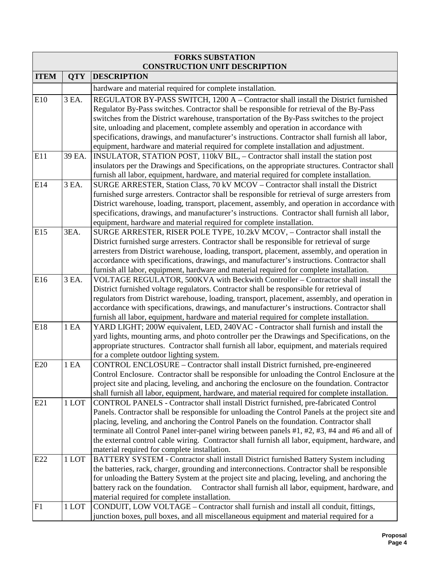|             | <b>FORKS SUBSTATION</b> |                                                                                                                                                                                                |  |  |  |  |  |
|-------------|-------------------------|------------------------------------------------------------------------------------------------------------------------------------------------------------------------------------------------|--|--|--|--|--|
| <b>ITEM</b> | <b>QTY</b>              | <b>CONSTRUCTION UNIT DESCRIPTION</b><br><b>DESCRIPTION</b>                                                                                                                                     |  |  |  |  |  |
|             |                         |                                                                                                                                                                                                |  |  |  |  |  |
|             |                         | hardware and material required for complete installation.                                                                                                                                      |  |  |  |  |  |
| E10         | 3 EA.                   | REGULATOR BY-PASS SWITCH, 1200 A – Contractor shall install the District furnished                                                                                                             |  |  |  |  |  |
|             |                         | Regulator By-Pass switches. Contractor shall be responsible for retrieval of the By-Pass<br>switches from the District warehouse, transportation of the By-Pass switches to the project        |  |  |  |  |  |
|             |                         | site, unloading and placement, complete assembly and operation in accordance with                                                                                                              |  |  |  |  |  |
|             |                         | specifications, drawings, and manufacturer's instructions. Contractor shall furnish all labor,                                                                                                 |  |  |  |  |  |
|             |                         | equipment, hardware and material required for complete installation and adjustment.                                                                                                            |  |  |  |  |  |
| E11         | 39 EA.                  | INSULATOR, STATION POST, 110kV BIL, - Contractor shall install the station post                                                                                                                |  |  |  |  |  |
|             |                         | insulators per the Drawings and Specifications, on the appropriate structures. Contractor shall                                                                                                |  |  |  |  |  |
|             |                         | furnish all labor, equipment, hardware, and material required for complete installation.                                                                                                       |  |  |  |  |  |
| E14         | 3 EA.                   | SURGE ARRESTER, Station Class, 70 kV MCOV - Contractor shall install the District                                                                                                              |  |  |  |  |  |
|             |                         | furnished surge arresters. Contractor shall be responsible for retrieval of surge arresters from                                                                                               |  |  |  |  |  |
|             |                         | District warehouse, loading, transport, placement, assembly, and operation in accordance with                                                                                                  |  |  |  |  |  |
|             |                         | specifications, drawings, and manufacturer's instructions. Contractor shall furnish all labor,                                                                                                 |  |  |  |  |  |
|             |                         | equipment, hardware and material required for complete installation.                                                                                                                           |  |  |  |  |  |
| E15         | 3EA.                    | SURGE ARRESTER, RISER POLE TYPE, 10.2kV MCOV, - Contractor shall install the                                                                                                                   |  |  |  |  |  |
|             |                         | District furnished surge arresters. Contractor shall be responsible for retrieval of surge                                                                                                     |  |  |  |  |  |
|             |                         | arresters from District warehouse, loading, transport, placement, assembly, and operation in                                                                                                   |  |  |  |  |  |
|             |                         | accordance with specifications, drawings, and manufacturer's instructions. Contractor shall                                                                                                    |  |  |  |  |  |
|             |                         | furnish all labor, equipment, hardware and material required for complete installation.                                                                                                        |  |  |  |  |  |
| E16         | 3 EA.                   | VOLTAGE REGULATOR, 500KVA with Beckwith Controller - Contractor shall install the                                                                                                              |  |  |  |  |  |
|             |                         | District furnished voltage regulators. Contractor shall be responsible for retrieval of                                                                                                        |  |  |  |  |  |
|             |                         | regulators from District warehouse, loading, transport, placement, assembly, and operation in                                                                                                  |  |  |  |  |  |
|             |                         | accordance with specifications, drawings, and manufacturer's instructions. Contractor shall<br>furnish all labor, equipment, hardware and material required for complete installation.         |  |  |  |  |  |
| E18         | 1 EA                    | YARD LIGHT; 200W equivalent, LED, 240VAC - Contractor shall furnish and install the                                                                                                            |  |  |  |  |  |
|             |                         | yard lights, mounting arms, and photo controller per the Drawings and Specifications, on the                                                                                                   |  |  |  |  |  |
|             |                         | appropriate structures. Contractor shall furnish all labor, equipment, and materials required                                                                                                  |  |  |  |  |  |
|             |                         | for a complete outdoor lighting system.                                                                                                                                                        |  |  |  |  |  |
| E20         | 1 EA                    | CONTROL ENCLOSURE - Contractor shall install District furnished, pre-engineered                                                                                                                |  |  |  |  |  |
|             |                         | Control Enclosure. Contractor shall be responsible for unloading the Control Enclosure at the                                                                                                  |  |  |  |  |  |
|             |                         | project site and placing, leveling, and anchoring the enclosure on the foundation. Contractor                                                                                                  |  |  |  |  |  |
|             |                         | shall furnish all labor, equipment, hardware, and material required for complete installation.                                                                                                 |  |  |  |  |  |
| E21         | 1 LOT                   | CONTROL PANELS - Contractor shall install District furnished, pre-fabricated Control                                                                                                           |  |  |  |  |  |
|             |                         | Panels. Contractor shall be responsible for unloading the Control Panels at the project site and                                                                                               |  |  |  |  |  |
|             |                         | placing, leveling, and anchoring the Control Panels on the foundation. Contractor shall                                                                                                        |  |  |  |  |  |
|             |                         | terminate all Control Panel inter-panel wiring between panels #1, #2, #3, #4 and #6 and all of                                                                                                 |  |  |  |  |  |
|             |                         | the external control cable wiring. Contractor shall furnish all labor, equipment, hardware, and                                                                                                |  |  |  |  |  |
|             |                         | material required for complete installation.                                                                                                                                                   |  |  |  |  |  |
| E22         | 1 LOT                   | BATTERY SYSTEM - Contractor shall install District furnished Battery System including                                                                                                          |  |  |  |  |  |
|             |                         | the batteries, rack, charger, grounding and interconnections. Contractor shall be responsible<br>for unloading the Battery System at the project site and placing, leveling, and anchoring the |  |  |  |  |  |
|             |                         | Contractor shall furnish all labor, equipment, hardware, and<br>battery rack on the foundation.                                                                                                |  |  |  |  |  |
|             |                         | material required for complete installation.                                                                                                                                                   |  |  |  |  |  |
| F1          | 1 LOT                   | CONDUIT, LOW VOLTAGE - Contractor shall furnish and install all conduit, fittings,                                                                                                             |  |  |  |  |  |
|             |                         | junction boxes, pull boxes, and all miscellaneous equipment and material required for a                                                                                                        |  |  |  |  |  |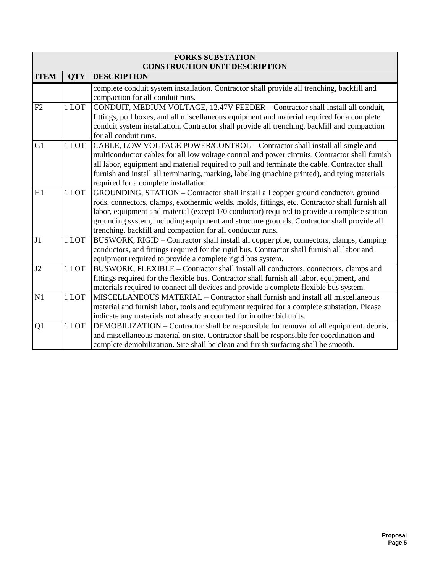| <b>FORKS SUBSTATION</b>              |            |                                                                                                                                                                                                                                                                                                                                                                                                                                               |  |  |  |  |  |  |
|--------------------------------------|------------|-----------------------------------------------------------------------------------------------------------------------------------------------------------------------------------------------------------------------------------------------------------------------------------------------------------------------------------------------------------------------------------------------------------------------------------------------|--|--|--|--|--|--|
| <b>CONSTRUCTION UNIT DESCRIPTION</b> |            |                                                                                                                                                                                                                                                                                                                                                                                                                                               |  |  |  |  |  |  |
| <b>ITEM</b>                          | <b>OTY</b> | <b>DESCRIPTION</b>                                                                                                                                                                                                                                                                                                                                                                                                                            |  |  |  |  |  |  |
|                                      |            | complete conduit system installation. Contractor shall provide all trenching, backfill and<br>compaction for all conduit runs.                                                                                                                                                                                                                                                                                                                |  |  |  |  |  |  |
| F2                                   | 1 LOT      | CONDUIT, MEDIUM VOLTAGE, 12.47V FEEDER - Contractor shall install all conduit,<br>fittings, pull boxes, and all miscellaneous equipment and material required for a complete<br>conduit system installation. Contractor shall provide all trenching, backfill and compaction<br>for all conduit runs.                                                                                                                                         |  |  |  |  |  |  |
| G <sub>1</sub>                       | 1 LOT      | CABLE, LOW VOLTAGE POWER/CONTROL - Contractor shall install all single and<br>multiconductor cables for all low voltage control and power circuits. Contractor shall furnish<br>all labor, equipment and material required to pull and terminate the cable. Contractor shall<br>furnish and install all terminating, marking, labeling (machine printed), and tying materials<br>required for a complete installation.                        |  |  |  |  |  |  |
| H1                                   | 1 LOT      | GROUNDING, STATION – Contractor shall install all copper ground conductor, ground<br>rods, connectors, clamps, exothermic welds, molds, fittings, etc. Contractor shall furnish all<br>labor, equipment and material (except 1/0 conductor) required to provide a complete station<br>grounding system, including equipment and structure grounds. Contractor shall provide all<br>trenching, backfill and compaction for all conductor runs. |  |  |  |  |  |  |
| J1                                   | 1 LOT      | BUSWORK, RIGID - Contractor shall install all copper pipe, connectors, clamps, damping<br>conductors, and fittings required for the rigid bus. Contractor shall furnish all labor and<br>equipment required to provide a complete rigid bus system.                                                                                                                                                                                           |  |  |  |  |  |  |
| J2                                   | 1 LOT      | BUSWORK, FLEXIBLE - Contractor shall install all conductors, connectors, clamps and<br>fittings required for the flexible bus. Contractor shall furnish all labor, equipment, and<br>materials required to connect all devices and provide a complete flexible bus system.                                                                                                                                                                    |  |  |  |  |  |  |
| N1                                   | 1 LOT      | MISCELLANEOUS MATERIAL - Contractor shall furnish and install all miscellaneous<br>material and furnish labor, tools and equipment required for a complete substation. Please<br>indicate any materials not already accounted for in other bid units.                                                                                                                                                                                         |  |  |  |  |  |  |
| Q1                                   | 1 LOT      | DEMOBILIZATION – Contractor shall be responsible for removal of all equipment, debris,<br>and miscellaneous material on site. Contractor shall be responsible for coordination and<br>complete demobilization. Site shall be clean and finish surfacing shall be smooth.                                                                                                                                                                      |  |  |  |  |  |  |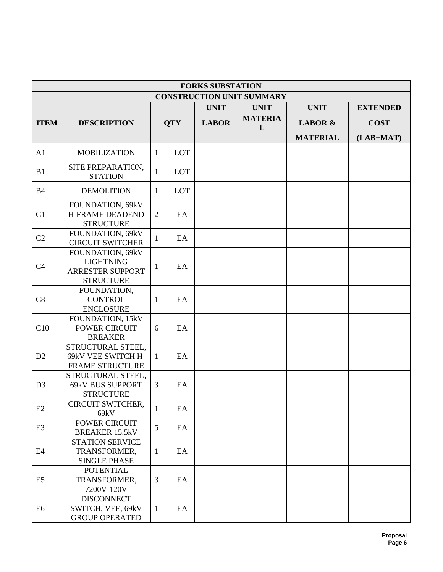| <b>FORKS SUBSTATION</b>          |                                                                              |                |            |              |                     |                    |                 |
|----------------------------------|------------------------------------------------------------------------------|----------------|------------|--------------|---------------------|--------------------|-----------------|
| <b>CONSTRUCTION UNIT SUMMARY</b> |                                                                              |                |            |              |                     |                    |                 |
|                                  |                                                                              |                |            | <b>UNIT</b>  | <b>UNIT</b>         | <b>UNIT</b>        | <b>EXTENDED</b> |
| <b>ITEM</b>                      | <b>DESCRIPTION</b>                                                           |                | <b>QTY</b> | <b>LABOR</b> | <b>MATERIA</b><br>L | <b>LABOR &amp;</b> | <b>COST</b>     |
|                                  |                                                                              |                |            |              |                     | <b>MATERIAL</b>    | $(LAB+MAT)$     |
| A1                               | <b>MOBILIZATION</b>                                                          | 1              | LOT        |              |                     |                    |                 |
| B1                               | SITE PREPARATION,<br><b>STATION</b>                                          | $\mathbf{1}$   | LOT        |              |                     |                    |                 |
| <b>B4</b>                        | <b>DEMOLITION</b>                                                            | $\mathbf{1}$   | LOT        |              |                     |                    |                 |
| C1                               | FOUNDATION, 69kV<br><b>H-FRAME DEADEND</b><br><b>STRUCTURE</b>               | $\overline{2}$ | EA         |              |                     |                    |                 |
| C <sub>2</sub>                   | FOUNDATION, 69kV<br><b>CIRCUIT SWITCHER</b>                                  | $\mathbf{1}$   | EA         |              |                     |                    |                 |
| C <sub>4</sub>                   | FOUNDATION, 69kV<br><b>LIGHTNING</b><br>ARRESTER SUPPORT<br><b>STRUCTURE</b> | $\mathbf{1}$   | EA         |              |                     |                    |                 |
| C8                               | FOUNDATION,<br><b>CONTROL</b><br><b>ENCLOSURE</b>                            | $\mathbf{1}$   | EA         |              |                     |                    |                 |
| C10                              | FOUNDATION, 15kV<br><b>POWER CIRCUIT</b><br><b>BREAKER</b>                   | 6              | EA         |              |                     |                    |                 |
| D2                               | STRUCTURAL STEEL,<br>69kV VEE SWITCH H-<br><b>FRAME STRUCTURE</b>            | 1              | EA         |              |                     |                    |                 |
| D <sub>3</sub>                   | STRUCTURAL STEEL,<br><b>69kV BUS SUPPORT</b><br><b>STRUCTURE</b>             | 3              | EA         |              |                     |                    |                 |
| E2                               | CIRCUIT SWITCHER,<br>69kV                                                    | $\mathbf{1}$   | EA         |              |                     |                    |                 |
| E <sub>3</sub>                   | POWER CIRCUIT<br><b>BREAKER 15.5kV</b>                                       | 5              | EA         |              |                     |                    |                 |
| E4                               | <b>STATION SERVICE</b><br>TRANSFORMER,<br><b>SINGLE PHASE</b>                | $\mathbf{1}$   | EA         |              |                     |                    |                 |
| E <sub>5</sub>                   | <b>POTENTIAL</b><br>TRANSFORMER,<br>7200V-120V                               | 3              | EA         |              |                     |                    |                 |
| E <sub>6</sub>                   | <b>DISCONNECT</b><br>SWITCH, VEE, 69kV<br><b>GROUP OPERATED</b>              | $\mathbf{1}$   | EA         |              |                     |                    |                 |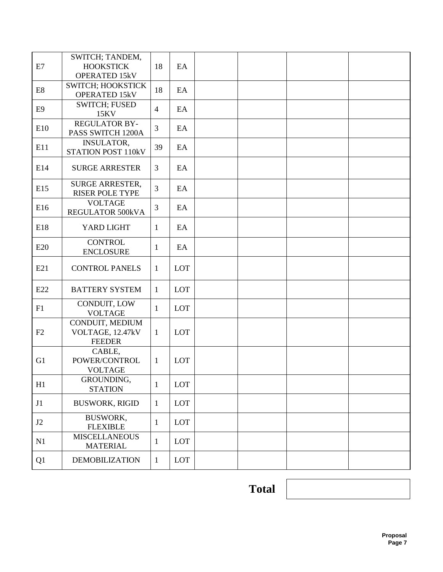| E7             | SWITCH; TANDEM,<br><b>HOOKSTICK</b><br><b>OPERATED 15kV</b> | 18             | EA         |  |  |
|----------------|-------------------------------------------------------------|----------------|------------|--|--|
| E <sub>8</sub> | SWITCH; HOOKSTICK<br><b>OPERATED 15kV</b>                   | 18             | EA         |  |  |
| E <sub>9</sub> | <b>SWITCH; FUSED</b><br>15KV                                | $\overline{4}$ | EA         |  |  |
| E10            | <b>REGULATOR BY-</b><br>PASS SWITCH 1200A                   | 3              | EA         |  |  |
| E11            | <b>INSULATOR,</b><br>STATION POST 110kV                     | 39             | EA         |  |  |
| E14            | <b>SURGE ARRESTER</b>                                       | 3              | EA         |  |  |
| E15            | <b>SURGE ARRESTER,</b><br>RISER POLE TYPE                   | 3              | EA         |  |  |
| E16            | <b>VOLTAGE</b><br>REGULATOR 500kVA                          | 3              | EA         |  |  |
| E18            | YARD LIGHT                                                  | 1              | EA         |  |  |
| E20            | <b>CONTROL</b><br><b>ENCLOSURE</b>                          | 1              | EA         |  |  |
| E21            | <b>CONTROL PANELS</b>                                       | $\mathbf{1}$   | LOT        |  |  |
| E22            | <b>BATTERY SYSTEM</b>                                       | $\mathbf{1}$   | LOT        |  |  |
| F1             | CONDUIT, LOW<br><b>VOLTAGE</b>                              | 1              | LOT        |  |  |
| F2             | CONDUIT, MEDIUM<br>VOLTAGE, 12.47kV<br><b>FEEDER</b>        | $\mathbf{1}$   | LOT        |  |  |
| G1             | CABLE,<br>POWER/CONTROL<br><b>VOLTAGE</b>                   | $\mathbf{1}$   | <b>LOT</b> |  |  |
| H1             | GROUNDING,<br><b>STATION</b>                                | 1              | LOT        |  |  |
| J1             | <b>BUSWORK, RIGID</b>                                       | $\mathbf{1}$   | LOT        |  |  |
| J2             | <b>BUSWORK,</b><br><b>FLEXIBLE</b>                          | $\mathbf{1}$   | LOT        |  |  |
| N1             | <b>MISCELLANEOUS</b><br><b>MATERIAL</b>                     | $\mathbf{1}$   | LOT        |  |  |
| Q1             | <b>DEMOBILIZATION</b>                                       | $\mathbf{1}$   | LOT        |  |  |

**Total**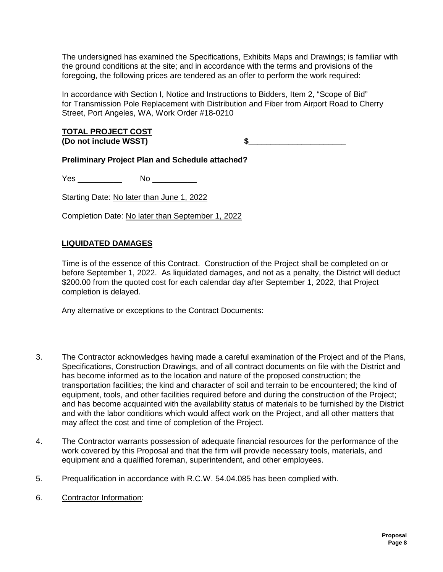The undersigned has examined the Specifications, Exhibits Maps and Drawings; is familiar with the ground conditions at the site; and in accordance with the terms and provisions of the foregoing, the following prices are tendered as an offer to perform the work required:

In accordance with Section I, Notice and Instructions to Bidders, Item 2, "Scope of Bid" for Transmission Pole Replacement with Distribution and Fiber from Airport Road to Cherry Street, Port Angeles, WA, Work Order #18-0210

**TOTAL PROJECT COST (Do not include WSST) \$\_\_\_\_\_\_\_\_\_\_\_\_\_\_\_\_\_\_\_\_\_\_**

**Preliminary Project Plan and Schedule attached?**

Yes \_\_\_\_\_\_\_\_\_\_ No \_\_\_\_\_\_\_\_\_\_

Starting Date: No later than June 1, 2022

Completion Date: No later than September 1, 2022

## **LIQUIDATED DAMAGES**

Time is of the essence of this Contract. Construction of the Project shall be completed on or before September 1, 2022. As liquidated damages, and not as a penalty, the District will deduct \$200.00 from the quoted cost for each calendar day after September 1, 2022, that Project completion is delayed.

Any alternative or exceptions to the Contract Documents:

- 3. The Contractor acknowledges having made a careful examination of the Project and of the Plans, Specifications, Construction Drawings, and of all contract documents on file with the District and has become informed as to the location and nature of the proposed construction; the transportation facilities; the kind and character of soil and terrain to be encountered; the kind of equipment, tools, and other facilities required before and during the construction of the Project; and has become acquainted with the availability status of materials to be furnished by the District and with the labor conditions which would affect work on the Project, and all other matters that may affect the cost and time of completion of the Project.
- 4. The Contractor warrants possession of adequate financial resources for the performance of the work covered by this Proposal and that the firm will provide necessary tools, materials, and equipment and a qualified foreman, superintendent, and other employees.
- 5. Prequalification in accordance with R.C.W. 54.04.085 has been complied with.
- 6. Contractor Information: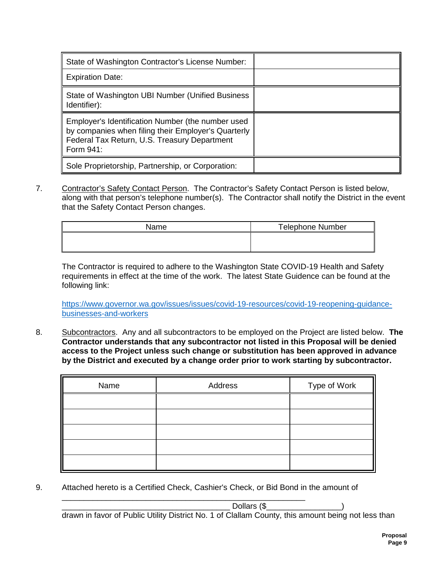| State of Washington Contractor's License Number:                                                                                                                      |  |
|-----------------------------------------------------------------------------------------------------------------------------------------------------------------------|--|
| <b>Expiration Date:</b>                                                                                                                                               |  |
| State of Washington UBI Number (Unified Business<br>Identifier):                                                                                                      |  |
| Employer's Identification Number (the number used<br>by companies when filing their Employer's Quarterly<br>Federal Tax Return, U.S. Treasury Department<br>Form 941: |  |
| Sole Proprietorship, Partnership, or Corporation:                                                                                                                     |  |

7. Contractor's Safety Contact Person. The Contractor's Safety Contact Person is listed below, along with that person's telephone number(s). The Contractor shall notify the District in the event that the Safety Contact Person changes.

| Name | <b>Telephone Number</b> |
|------|-------------------------|
|      |                         |
|      |                         |

The Contractor is required to adhere to the Washington State COVID-19 Health and Safety requirements in effect at the time of the work. The latest State Guidence can be found at the following link:

[https://www.governor.wa.gov/issues/issues/covid-19-resources/covid-19-reopening-guidance](https://www.governor.wa.gov/issues/issues/covid-19-resources/covid-19-reopening-guidance-businesses-and-workers)[businesses-and-workers](https://www.governor.wa.gov/issues/issues/covid-19-resources/covid-19-reopening-guidance-businesses-and-workers)

8. Subcontractors. Any and all subcontractors to be employed on the Project are listed below. **The Contractor understands that any subcontractor not listed in this Proposal will be denied access to the Project unless such change or substitution has been approved in advance by the District and executed by a change order prior to work starting by subcontractor.**

| Name | Address | Type of Work |
|------|---------|--------------|
|      |         |              |
|      |         |              |
|      |         |              |
|      |         |              |
|      |         |              |

9. Attached hereto is a Certified Check, Cashier's Check, or Bid Bond in the amount of

\_\_\_\_\_\_\_\_\_\_\_\_\_\_\_\_\_\_\_\_\_\_\_\_\_\_\_\_\_\_\_\_\_\_\_\_\_\_\_\_\_\_\_\_\_\_\_\_\_\_\_\_\_\_\_  $\text{Dollars (}\$ 

drawn in favor of Public Utility District No. 1 of Clallam County, this amount being not less than